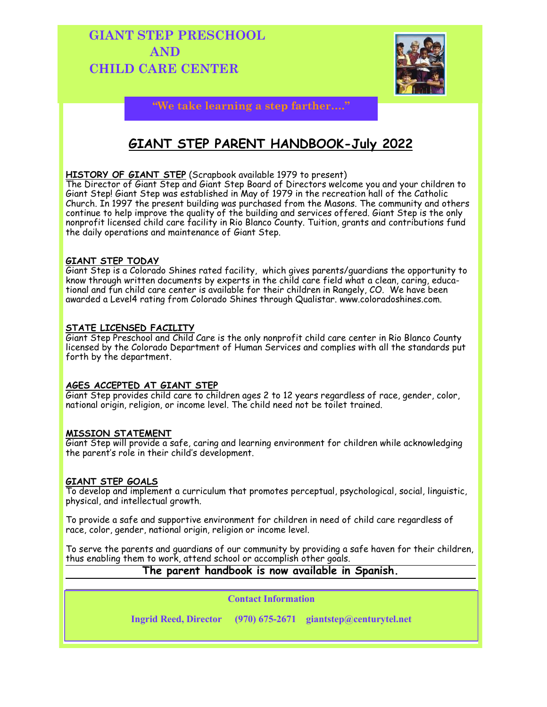# **GIANT STEP PRESCHOOL AND CHILD CARE CENTER**



**"We take learning a step farther…."**

# **GIANT STEP PARENT HANDBOOK-July 2022**

## **HISTORY OF GIANT STEP** (Scrapbook available 1979 to present)

The Director of Giant Step and Giant Step Board of Directors welcome you and your children to Giant Step! Giant Step was established in May of 1979 in the recreation hall of the Catholic Church. In 1997 the present building was purchased from the Masons. The community and others continue to help improve the quality of the building and services offered. Giant Step is the only nonprofit licensed child care facility in Rio Blanco County. Tuition, grants and contributions fund the daily operations and maintenance of Giant Step.

## **GIANT STEP TODAY**

Giant Step is a Colorado Shines rated facility, which gives parents/guardians the opportunity to know through written documents by experts in the child care field what a clean, caring, educational and fun child care center is available for their children in Rangely, CO. We have been awarded a Level4 rating from Colorado Shines through Qualistar. www.coloradoshines.com.

## **STATE LICENSED FACILITY**

Giant Step Preschool and Child Care is the only nonprofit child care center in Rio Blanco County licensed by the Colorado Department of Human Services and complies with all the standards put forth by the department.

## **AGES ACCEPTED AT GIANT STEP**

Giant Step provides child care to children ages 2 to 12 years regardless of race, gender, color, national origin, religion, or income level. The child need not be toilet trained.

## **MISSION STATEMENT**

Giant Step will provide a safe, caring and learning environment for children while acknowledging the parent's role in their child's development.

## **GIANT STEP GOALS**

To develop and implement a curriculum that promotes perceptual, psychological, social, linguistic, physical, and intellectual growth.

To provide a safe and supportive environment for children in need of child care regardless of race, color, gender, national origin, religion or income level.

To serve the parents and guardians of our community by providing a safe haven for their children, thus enabling them to work, attend school or accomplish other goals.

## **The parent handbook is now available in Spanish.**

**Contact Information**

**Ingrid Reed, Director (970) 675-2671 giantstep@centurytel.net**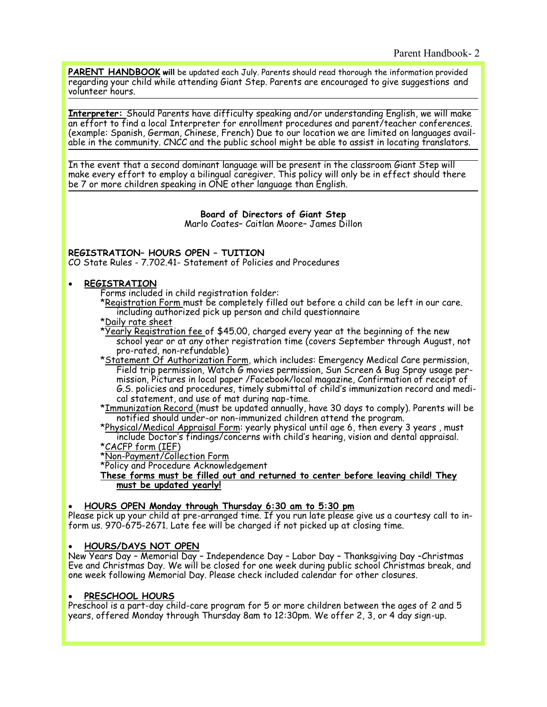**PARENT HANDBOOK will** be updated each July. Parents should read thorough the information provided regarding your child while attending Giant Step. Parents are encouraged to give suggestions and volunteer hours.

**Interpreter:** Should Parents have difficulty speaking and/or understanding English, we will make an effort to find a local Interpreter for enrollment procedures and parent/teacher conferences. (example: Spanish, German, Chinese, French) Due to our location we are limited on languages available in the community. CNCC and the public school might be able to assist in locating translators.

In the event that a second dominant language will be present in the classroom Giant Step will make every effort to employ a bilingual caregiver. This policy will only be in effect should there be 7 or more children speaking in ONE other language than English.

#### **Board of Directors of Giant Step**

Marlo Coates– Caitlan Moore– James Dillon

#### **REGISTRATION– HOURS OPEN – TUITION**

CO State Rules - 7.702.41- Statement of Policies and Procedures

#### • **REGISTRATION**

Forms included in child registration folder:

- \*Registration Form must be completely filled out before a child can be left in our care. including authorized pick up person and child questionnaire
- \*Daily rate sheet
- \*Yearly Registration fee of \$45.00, charged every year at the beginning of the new school year or at any other registration time (covers September through August, not pro-rated, non-refundable)
- \*Statement Of Authorization Form, which includes: Emergency Medical Care permission, Field trip permission, Watch G movies permission, Sun Screen & Bug Spray usage permission, Pictures in local paper /Facebook/local magazine, Confirmation of receipt of G.S. policies and procedures, timely submittal of child's immunization record and medical statement, and use of mat during nap-time.

\*Immunization Record (must be updated annually, have 30 days to comply). Parents will be notified should under-or non-immunized children attend the program.

\*Physical/Medical Appraisal Form: yearly physical until age 6, then every 3 years , must include Doctor's findings/concerns with child's hearing, vision and dental appraisal.

## \*CACFP form (IEF)

\*Non-Payment/Collection Form

\*Policy and Procedure Acknowledgement

**These forms must be filled out and returned to center before leaving child! They must be updated yearly!**

#### • **HOURS OPEN Monday through Thursday 6:30 am to 5:30 pm**

Please pick up your child at pre-arranged time. If you run late please give us a courtesy call to inform us. 970-675-2671. Late fee will be charged if not picked up at closing time.

#### • **HOURS/DAYS NOT OPEN**

New Years Day – Memorial Day – Independence Day – Labor Day – Thanksgiving Day –Christmas Eve and Christmas Day. We will be closed for one week during public school Christmas break, and one week following Memorial Day. Please check included calendar for other closures.

#### • **PRESCHOOL HOURS**

Preschool is a part-day child-care program for 5 or more children between the ages of 2 and 5 years, offered Monday through Thursday 8am to 12:30pm. We offer 2, 3, or 4 day sign-up.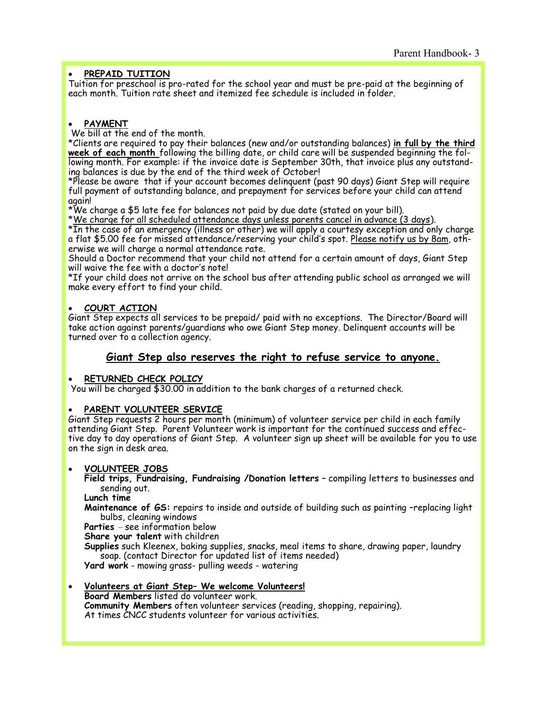## • **PREPAID TUITION**

Tuition for preschool is pro-rated for the school year and must be pre-paid at the beginning of each month. Tuition rate sheet and itemized fee schedule is included in folder.

## • **PAYMENT**

We bill at the end of the month.

\*Clients are required to pay their balances (new and/or outstanding balances) **in full by the third week of each month** following the billing date, or child care will be suspended beginning the following month. For example: if the invoice date is September 30th, that invoice plus any outstanding balances is due by the end of the third week of October!

\*Please be aware that if your account becomes delinquent (past 90 days) Giant Step will require full payment of outstanding balance, and prepayment for services before your child can attend again!

\*We charge a \$5 late fee for balances not paid by due date (stated on your bill).

\*We charge for all scheduled attendance days unless parents cancel in advance (3 days).

\*In the case of an emergency (illness or other) we will apply a courtesy exception and only charge a flat \$5.00 fee for missed attendance/reserving your child's spot. Please notify us by 8am, otherwise we will charge a normal attendance rate.

Should a Doctor recommend that your child not attend for a certain amount of days, Giant Step will waive the fee with a doctor's note!

\*If your child does not arrive on the school bus after attending public school as arranged we will make every effort to find your child.

## • **COURT ACTION**

Giant Step expects all services to be prepaid/ paid with no exceptions. The Director/Board will take action against parents/guardians who owe Giant Step money. Delinquent accounts will be turned over to a collection agency.

## **Giant Step also reserves the right to refuse service to anyone.**

## • **RETURNED CHECK POLICY**

You will be charged \$30.00 in addition to the bank charges of a returned check.

## • **PARENT VOLUNTEER SERVICE**

Giant Step requests 2 hours per month (minimum) of volunteer service per child in each family attending Giant Step. Parent Volunteer work is important for the continued success and effective day to day operations of Giant Step. A volunteer sign up sheet will be available for you to use on the sign in desk area.

## • **VOLUNTEER JOBS**

**Field trips, Fundraising, Fundraising /Donation letters** – compiling letters to businesses and sending out.

#### **Lunch time**

**Maintenance of GS:** repairs to inside and outside of building such as painting –replacing light bulbs, cleaning windows

**Parties** – see information below

**Share your talent** with children

**Supplies** such Kleenex, baking supplies, snacks, meal items to share, drawing paper, laundry soap. (contact Director for updated list of items needed) **Yard work** - mowing grass- pulling weeds - watering

#### • **Volunteers at Giant Step– We welcome Volunteers!**

**Board Members** listed do volunteer work. **Community Members** often volunteer services (reading, shopping, repairing). At times CNCC students volunteer for various activities.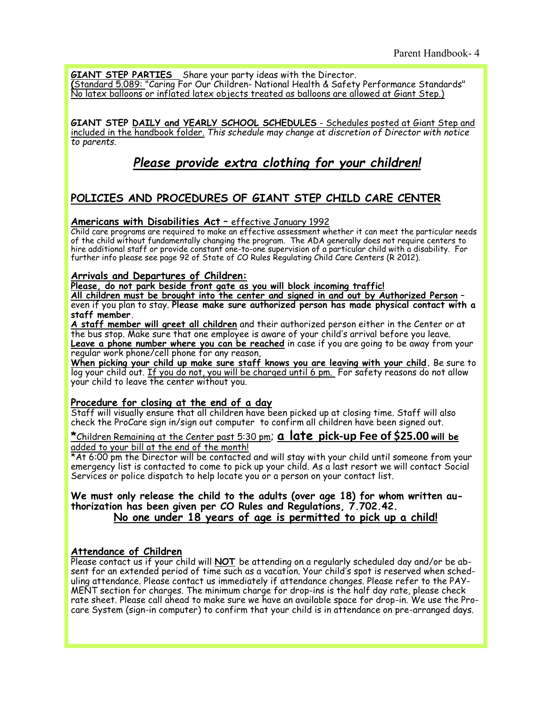**GIANT STEP PARTIES** Share your party ideas with the Director.

**(**Standard 5.089: "Caring For Our Children- National Health & Safety Performance Standards" No latex balloons or inflated latex objects treated as balloons are allowed at Giant Step.)

**GIANT STEP DAILY and YEARLY SCHOOL SCHEDULES** - Schedules posted at Giant Step and included in the handbook folder. *This schedule may change at discretion of Director with notice to parents.*

# *Please provide extra clothing for your children!*

# **POLICIES AND PROCEDURES OF GIANT STEP CHILD CARE CENTER**

## **Americans with Disabilities Act** – effective January 1992

Child care programs are required to make an effective assessment whether it can meet the particular needs of the child without fundamentally changing the program. The ADA generally does not require centers to hire additional staff or provide constant one-to-one supervision of a particular child with a disability. For further info please see page 92 of State of CO Rules Regulating Child Care Centers (R 2012).

#### **Arrivals and Departures of Children:**

**Please, do not park beside front gate as you will block incoming traffic!**

**All children must be brought into the center and signed in and out by Authorized Person** – even if you plan to stay. **Please make sure authorized person has made physical contact with a staff member.**

**A staff member will greet all children** and their authorized person either in the Center or at the bus stop. Make sure that one employee is aware of your child's arrival before you leave. **Leave a phone number where you can be reached** in case if you are going to be away from your regular work phone/cell phone for any reason,

**When picking your child up make sure staff knows you are leaving with your child.** Be sure to log your child out. If you do not, you will be charged until 6 pm. For safety reasons do not allow your child to leave the center without you.

#### **Procedure for closing at the end of a day**

Staff will visually ensure that all children have been picked up at closing time. Staff will also check the ProCare sign in/sign out computer to confirm all children have been signed out.

**\***Children Remaining at the Center past 5:30 pm; **a late pick-up Fee of \$25.00 will be**  added to your bill at the end of the month!

\*At 6:00 pm the Director will be contacted and will stay with your child until someone from your emergency list is contacted to come to pick up your child. As a last resort we will contact Social Services or police dispatch to help locate you or a person on your contact list.

#### **We must only release the child to the adults (over age 18) for whom written authorization has been given per CO Rules and Regulations, 7.702.42. No one under 18 years of age is permitted to pick up a child!**

## **Attendance of Children**

Please contact us if your child will **NOT** be attending on a regularly scheduled day and/or be absent for an extended period of time such as a vacation. Your child's spot is reserved when scheduling attendance. Please contact us immediately if attendance changes. Please refer to the PAY-MENT section for charges. The minimum charge for drop-ins is the half day rate, please check rate sheet. Please call ahead to make sure we have an available space for drop-in. We use the Procare System (sign-in computer) to confirm that your child is in attendance on pre-arranged days.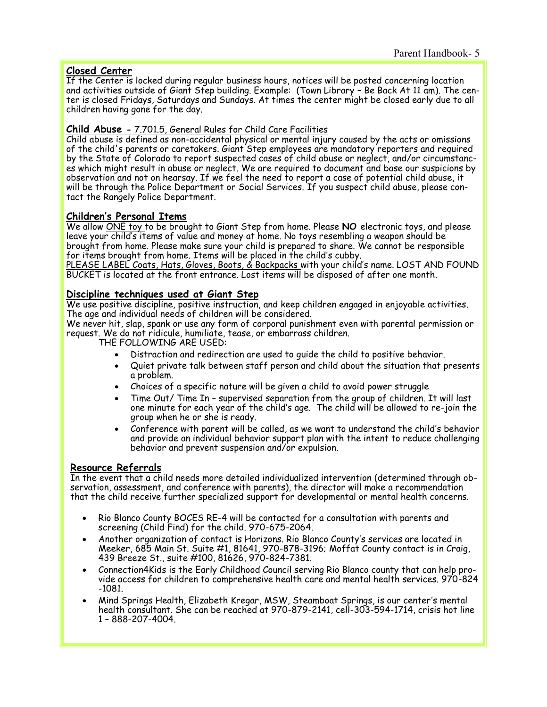## **Closed Center**

If the Center is locked during regular business hours, notices will be posted concerning location and activities outside of Giant Step building. Example: (Town Library – Be Back At 11 am). The center is closed Fridays, Saturdays and Sundays. At times the center might be closed early due to all children having gone for the day.

## **Child Abuse -** 7.701.5, General Rules for Child Care Facilities

Child abuse is defined as non-accidental physical or mental injury caused by the acts or omissions of the child's parents or caretakers. Giant Step employees are mandatory reporters and required by the State of Colorado to report suspected cases of child abuse or neglect, and/or circumstances which might result in abuse or neglect. We are required to document and base our suspicions by observation and not on hearsay. If we feel the need to report a case of potential child abuse, it will be through the Police Department or Social Services. If you suspect child abuse, please contact the Rangely Police Department.

## **Children's Personal Items**

We allow ONE toy to be brought to Giant Step from home. Please **NO** electronic toys, and please leave your child's items of value and money at home. No toys resembling a weapon should be brought from home. Please make sure your child is prepared to share. We cannot be responsible for items brought from home. Items will be placed in the child's cubby.

PLEASE LABEL Coats, Hats, Gloves, Boots, & Backpacks with your child's name. LOST AND FOUND BUCKET is located at the front entrance. Lost items will be disposed of after one month.

## **Discipline techniques used at Giant Step**

We use positive discipline, positive instruction, and keep children engaged in enjoyable activities. The age and individual needs of children will be considered.

We never hit, slap, spank or use any form of corporal punishment even with parental permission or request. We do not ridicule, humiliate, tease, or embarrass children.

THE FOLLOWING ARE USED:

- Distraction and redirection are used to guide the child to positive behavior.
- Quiet private talk between staff person and child about the situation that presents a problem.
- Choices of a specific nature will be given a child to avoid power struggle
- Time Out/ Time In supervised separation from the group of children. It will last one minute for each year of the child's age. The child will be allowed to re-join the group when he or she is ready.
- Conference with parent will be called, as we want to understand the child's behavior and provide an individual behavior support plan with the intent to reduce challenging behavior and prevent suspension and/or expulsion.

## **Resource Referrals**

In the event that a child needs more detailed individualized intervention (determined through observation, assessment, and conference with parents), the director will make a recommendation that the child receive further specialized support for developmental or mental health concerns.

- Rio Blanco County BOCES RE-4 will be contacted for a consultation with parents and screening (Child Find) for the child. 970-675-2064.
- Another organization of contact is Horizons. Rio Blanco County's services are located in Meeker, 685 Main St. Suite #1, 81641, 970-878-3196; Moffat County contact is in Craig, 439 Breeze St., suite #100, 81626, 970-824-7381.
- Connection4Kids is the Early Childhood Council serving Rio Blanco county that can help provide access for children to comprehensive health care and mental health services. 970-824 -1081.
- Mind Springs Health, Elizabeth Kregar, MSW, Steamboat Springs, is our center's mental health consultant. She can be reached at 970-879-2141, cell-303-594-1714, crisis hot line 1 – 888-207-4004.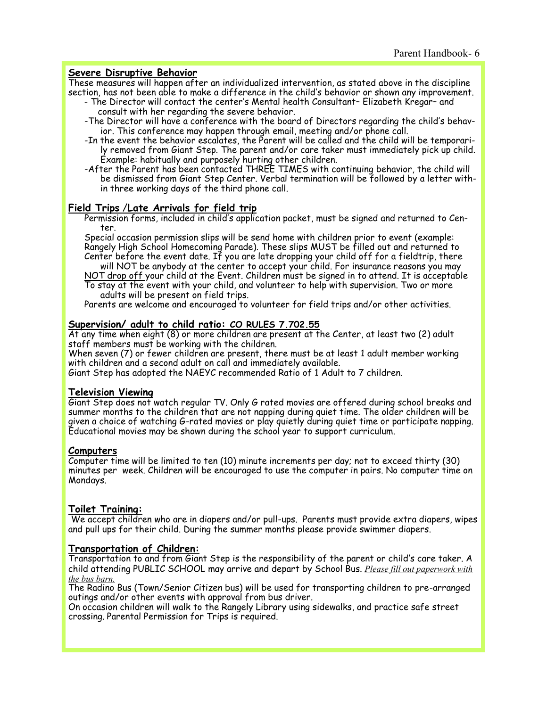## **Severe Disruptive Behavior**

These measures will happen after an individualized intervention, as stated above in the discipline section, has not been able to make a difference in the child's behavior or shown any improvement.

- The Director will contact the center's Mental health Consultant– Elizabeth Kregar– and consult with her regarding the severe behavior.
- -The Director will have a conference with the board of Directors regarding the child's behavior. This conference may happen through email, meeting and/or phone call.
- -In the event the behavior escalates, the Parent will be called and the child will be temporarily removed from Giant Step. The parent and/or care taker must immediately pick up child. Example: habitually and purposely hurting other children.
- -After the Parent has been contacted THREE TIMES with continuing behavior, the child will be dismissed from Giant Step Center. Verbal termination will be followed by a letter within three working days of the third phone call.

#### **Field Trips** /**Late Arrivals for field trip**

Permission forms, included in child's application packet, must be signed and returned to Center.

Special occasion permission slips will be send home with children prior to event (example: Rangely High School Homecoming Parade). These slips MUST be filled out and returned to Center before the event date. If you are late dropping your child off for a fieldtrip, there will NOT be anybody at the center to accept your child. For insurance reasons you may

NOT drop off your child at the Event. Children must be signed in to attend. It is acceptable To stay at the event with your child, and volunteer to help with supervision. Two or more adults will be present on field trips.

Parents are welcome and encouraged to volunteer for field trips and/or other activities.

## **Supervision/ adult to child ratio: CO RULES 7.702.55**

At any time when eight (8) or more children are present at the Center, at least two (2) adult staff members must be working with the children.

When seven (7) or fewer children are present, there must be at least 1 adult member working with children and a second adult on call and immediately available.

Giant Step has adopted the NAEYC recommended Ratio of 1 Adult to 7 children.

## **Television Viewing**

Giant Step does not watch regular TV. Only G rated movies are offered during school breaks and summer months to the children that are not napping during quiet time. The older children will be given a choice of watching G-rated movies or play quietly during quiet time or participate napping. Educational movies may be shown during the school year to support curriculum.

#### **Computers**

Computer time will be limited to ten (10) minute increments per day; not to exceed thirty (30) minutes per week. Children will be encouraged to use the computer in pairs. No computer time on Mondays.

## **Toilet Training:**

We accept children who are in diapers and/or pull-ups. Parents must provide extra diapers, wipes and pull ups for their child. During the summer months please provide swimmer diapers.

## **Transportation of Children:**

Transportation to and from Giant Step is the responsibility of the parent or child's care taker. A child attending PUBLIC SCHOOL may arrive and depart by School Bus. *Please fill out paperwork with the bus barn.*

The Radino Bus (Town/Senior Citizen bus) will be used for transporting children to pre-arranged outings and/or other events with approval from bus driver.

On occasion children will walk to the Rangely Library using sidewalks, and practice safe street crossing. Parental Permission for Trips is required.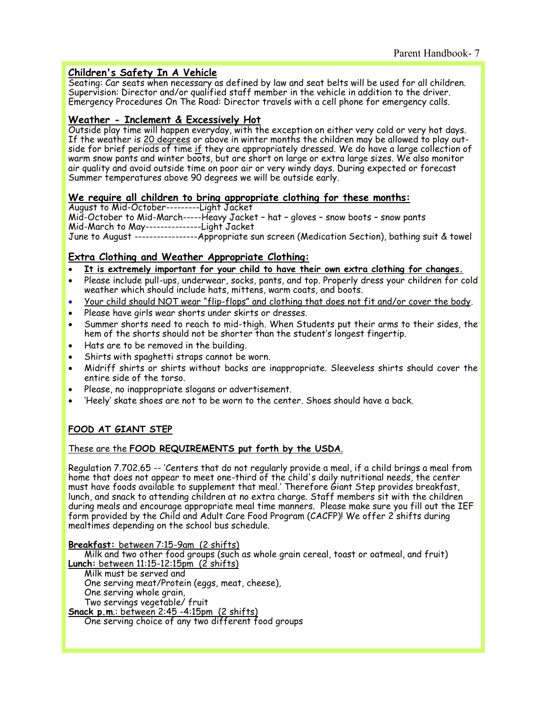## **Children's Safety In A Vehicle**

Seating: Car seats when necessary as defined by law and seat belts will be used for all children. Supervision: Director and/or qualified staff member in the vehicle in addition to the driver. Emergency Procedures On The Road: Director travels with a cell phone for emergency calls.

## **Weather - Inclement & Excessively Hot**

Outside play time will happen everyday, with the exception on either very cold or very hot days. If the weather is 20 degrees or above in winter months the children may be allowed to play outside for brief periods of time if they are appropriately dressed. We do have a large collection of warm snow pants and winter boots, but are short on large or extra large sizes. We also monitor air quality and avoid outside time on poor air or very windy days. During expected or forecast Summer temperatures above 90 degrees we will be outside early.

## **We require all children to bring appropriate clothing for these months:**

August to Mid-October---------Light Jacket

Mid-October to Mid-March-----Heavy Jacket – hat – gloves – snow boots – snow pants Mid-March to May---------------Light Jacket

June to August -----------------Appropriate sun screen (Medication Section), bathing suit & towel

## **Extra Clothing and Weather Appropriate Clothing:**

- **It is extremely important for your child to have their own extra clothing for changes.**
- Please include pull-ups, underwear, socks, pants, and top. Properly dress your children for cold weather which should include hats, mittens, warm coats, and boots.
- Your child should NOT wear "flip-flops" and clothing that does not fit and/or cover the body.
- Please have girls wear shorts under skirts or dresses.
- Summer shorts need to reach to mid-thigh. When Students put their arms to their sides, the hem of the shorts should not be shorter than the student's longest fingertip.
- Hats are to be removed in the building.
- Shirts with spaghetti straps cannot be worn.
- Midriff shirts or shirts without backs are inappropriate. Sleeveless shirts should cover the entire side of the torso.
- Please, no inappropriate slogans or advertisement.
- 'Heely' skate shoes are not to be worn to the center. Shoes should have a back.

## **FOOD AT GIANT STEP**

## These are the **FOOD REQUIREMENTS put forth by the USDA**.

Regulation 7.702.65 -- 'Centers that do not regularly provide a meal, if a child brings a meal from home that does not appear to meet one-third of the child's daily nutritional needs, the center must have foods available to supplement that meal.' Therefore Giant Step provides breakfast, lunch, and snack to attending children at no extra charge. Staff members sit with the children during meals and encourage appropriate meal time manners. Please make sure you fill out the IEF form provided by the Child and Adult Care Food Program (CACFP)! We offer 2 shifts during mealtimes depending on the school bus schedule.

**Breakfast:** between 7:15-9am (2 shifts)

Milk and two other food groups (such as whole grain cereal, toast or oatmeal, and fruit) **Lunch:** between 11:15-12:15pm (2 shifts)

Milk must be served and One serving meat/Protein (eggs, meat, cheese), One serving whole grain, Two servings vegetable/ fruit

**Snack p.m**.: between 2:45 -4:15pm (2 shifts) One serving choice of any two different food groups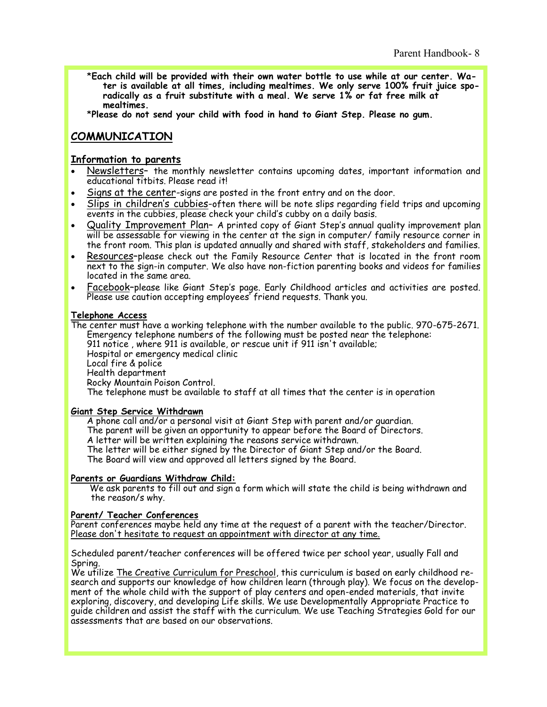\***Each child will be provided with their own water bottle to use while at our center. Water is available at all times, including mealtimes. We only serve 100% fruit juice sporadically as a fruit substitute with a meal. We serve 1% or fat free milk at mealtimes.** 

\***Please do not send your child with food in hand to Giant Step. Please no gum.**

# **COMMUNICATION**

## **Information to parents**

- Newsletters– the monthly newsletter contains upcoming dates, important information and educational titbits. Please read it!
- Signs at the center-signs are posted in the front entry and on the door.
- Slips in children's cubbies-often there will be note slips regarding field trips and upcoming events in the cubbies, please check your child's cubby on a daily basis.
- Quality Improvement Plan– A printed copy of Giant Step's annual quality improvement plan will be assessable for viewing in the center at the sign in computer/ family resource corner in the front room. This plan is updated annually and shared with staff, stakeholders and families.
- Resources–please check out the Family Resource Center that is located in the front room next to the sign-in computer. We also have non-fiction parenting books and videos for families located in the same area.
- Facebook–please like Giant Step's page. Early Childhood articles and activities are posted. Please use caution accepting employees<sup>7</sup> friend requests. Thank you.

#### **Telephone Access**

The center must have a working telephone with the number available to the public. 970-675-2671. Emergency telephone numbers of the following must be posted near the telephone: 911 notice , where 911 is available, or rescue unit if 911 isn't available; Hospital or emergency medical clinic Local fire & police Health department Rocky Mountain Poison Control. The telephone must be available to staff at all times that the center is in operation

#### **Giant Step Service Withdrawn**

A phone call and/or a personal visit at Giant Step with parent and/or guardian. The parent will be given an opportunity to appear before the Board of Directors. A letter will be written explaining the reasons service withdrawn. The letter will be either signed by the Director of Giant Step and/or the Board. The Board will view and approved all letters signed by the Board.

## **Parents or Guardians Withdraw Child:**

 We ask parents to fill out and sign a form which will state the child is being withdrawn and the reason/s why.

#### **Parent/ Teacher Conferences**

Parent conferences maybe held any time at the request of a parent with the teacher/Director. Please don't hesitate to request an appointment with director at any time.

Scheduled parent/teacher conferences will be offered twice per school year, usually Fall and Spring.

We utilize The Creative Curriculum for Preschool, this curriculum is based on early childhood research and supports our knowledge of how children learn (through play). We focus on the development of the whole child with the support of play centers and open-ended materials, that invite exploring, discovery, and developing Life skills. We use Developmentally Appropriate Practice to guide children and assist the staff with the curriculum. We use Teaching Strategies Gold for our assessments that are based on our observations.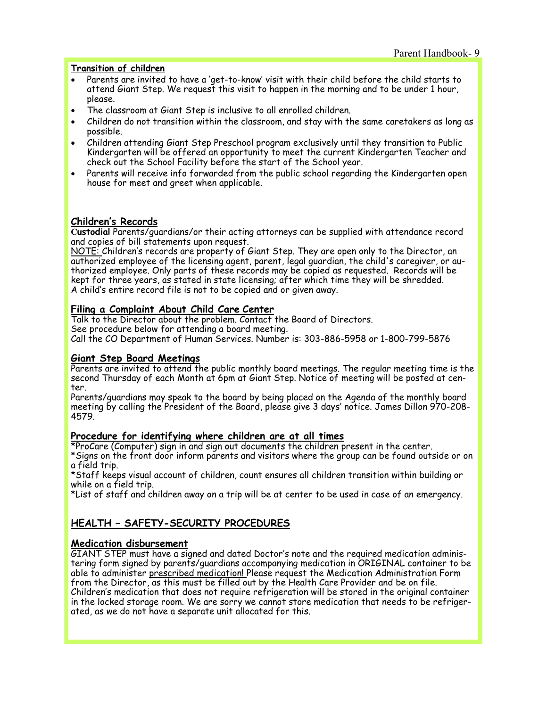#### **Transition of children**

- Parents are invited to have a 'get-to-know' visit with their child before the child starts to attend Giant Step. We request this visit to happen in the morning and to be under 1 hour, please.
- The classroom at Giant Step is inclusive to all enrolled children.
- Children do not transition within the classroom, and stay with the same caretakers as long as possible.
- Children attending Giant Step Preschool program exclusively until they transition to Public Kindergarten will be offered an opportunity to meet the current Kindergarten Teacher and check out the School Facility before the start of the School year.
- Parents will receive info forwarded from the public school regarding the Kindergarten open house for meet and greet when applicable.

## **Children's Records**

**Custodial** Parents/guardians/or their acting attorneys can be supplied with attendance record and copies of bill statements upon request.

NOTE: Children's records are property of Giant Step. They are open only to the Director, an authorized employee of the licensing agent, parent, legal guardian, the child's caregiver, or authorized employee. Only parts of these records may be copied as requested. Records will be kept for three years, as stated in state licensing; after which time they will be shredded. A child's entire record file is not to be copied and or given away.

## **Filing a Complaint About Child Care Center**

Talk to the Director about the problem. Contact the Board of Directors. See procedure below for attending a board meeting.

Call the CO Department of Human Services. Number is: 303-886-5958 or 1-800-799-5876

#### **Giant Step Board Meetings**

Parents are invited to attend the public monthly board meetings. The regular meeting time is the second Thursday of each Month at 6pm at Giant Step. Notice of meeting will be posted at center.

Parents/guardians may speak to the board by being placed on the Agenda of the monthly board meeting by calling the President of the Board, please give 3 days' notice. James Dillon 970-208- 4579.

#### **Procedure for identifying where children are at all times**

\*ProCare (Computer) sign in and sign out documents the children present in the center. \*Signs on the front door inform parents and visitors where the group can be found outside or on

a field trip.

\*Staff keeps visual account of children, count ensures all children transition within building or while on a field trip.

\*List of staff and children away on a trip will be at center to be used in case of an emergency.

## **HEALTH – SAFETY-SECURITY PROCEDURES**

#### **Medication disbursement**

GIANT STEP must have a signed and dated Doctor's note and the required medication administering form signed by parents/guardians accompanying medication in ORIGINAL container to be able to administer prescribed medication! Please request the Medication Administration Form from the Director, as this must be filled out by the Health Care Provider and be on file. Children's medication that does not require refrigeration will be stored in the original container in the locked storage room. We are sorry we cannot store medication that needs to be refrigerated, as we do not have a separate unit allocated for this.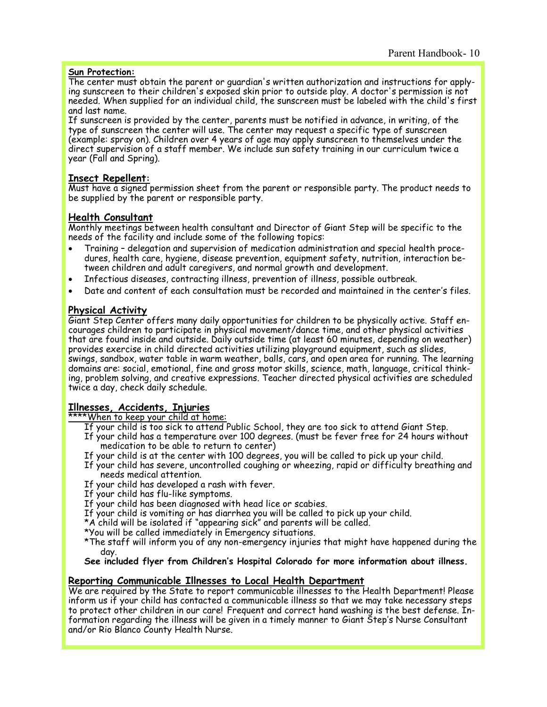## **Sun Protection:**

The center must obtain the parent or guardian's written authorization and instructions for applying sunscreen to their children's exposed skin prior to outside play. A doctor's permission is not needed. When supplied for an individual child, the sunscreen must be labeled with the child's first and last name.

If sunscreen is provided by the center, parents must be notified in advance, in writing, of the type of sunscreen the center will use. The center may request a specific type of sunscreen (example: spray on). Children over 4 years of age may apply sunscreen to themselves under the direct supervision of a staff member. We include sun safety training in our curriculum twice a year (Fall and Spring).

## **Insect Repellent:**

Must have a signed permission sheet from the parent or responsible party. The product needs to be supplied by the parent or responsible party.

## **Health Consultant**

Monthly meetings between health consultant and Director of Giant Step will be specific to the needs of the facility and include some of the following topics:

- Training delegation and supervision of medication administration and special health procedures, health care, hygiene, disease prevention, equipment safety, nutrition, interaction between children and adult caregivers, and normal growth and development.
- Infectious diseases, contracting illness, prevention of illness, possible outbreak.
- Date and content of each consultation must be recorded and maintained in the center's files.

## **Physical Activity**

Giant Step Center offers many daily opportunities for children to be physically active. Staff encourages children to participate in physical movement/dance time, and other physical activities that are found inside and outside. Daily outside time (at least 60 minutes, depending on weather) provides exercise in child directed activities utilizing playground equipment, such as slides, swings, sandbox, water table in warm weather, balls, cars, and open area for running. The learning domains are: social, emotional, fine and gross motor skills, science, math, language, critical thinking, problem solving, and creative expressions. Teacher directed physical activities are scheduled twice a day, check daily schedule.

## **Illnesses, Accidents, Injuries**

\*\*\*\*When to keep your child at home:

- If your child is too sick to attend Public School, they are too sick to attend Giant Step.
- If your child has a temperature over 100 degrees. (must be fever free for 24 hours without medication to be able to return to center)
- If your child is at the center with 100 degrees, you will be called to pick up your child.
- If your child has severe, uncontrolled coughing or wheezing, rapid or difficulty breathing and needs medical attention.
- If your child has developed a rash with fever.
- If your child has flu-like symptoms.
- If your child has been diagnosed with head lice or scabies.
- If your child is vomiting or has diarrhea you will be called to pick up your child.
- \*A child will be isolated if "appearing sick" and parents will be called.
- \*You will be called immediately in Emergency situations.
- \*The staff will inform you of any non-emergency injuries that might have happened during the day.

**See included flyer from Children's Hospital Colorado for more information about illness.**

## **Reporting Communicable Illnesses to Local Health Department**

We are required by the State to report communicable illnesses to the Health Department! Please inform us if your child has contacted a communicable illness so that we may take necessary steps to protect other children in our care! Frequent and correct hand washing is the best defense. Information regarding the illness will be given in a timely manner to Giant Step's Nurse Consultant and/or Rio Blanco County Health Nurse.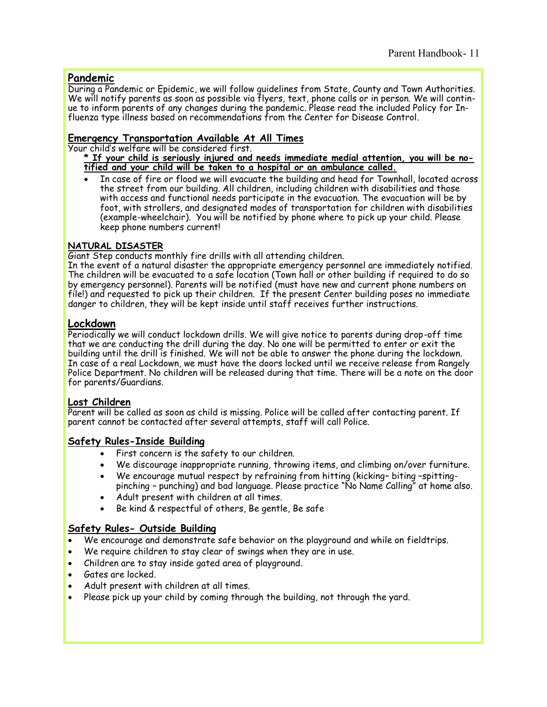## **Pandemic**

During a Pandemic or Epidemic, we will follow guidelines from State, County and Town Authorities. We will notify parents as soon as possible via flyers, text, phone calls or in person. We will continue to inform parents of any changes during the pandemic. Please read the included Policy for Influenza type illness based on recommendations from the Center for Disease Control.

## **Emergency Transportation Available At All Times**

Your child's welfare will be considered first.

- **\* If your child is seriously injured and needs immediate medial attention, you will be notified and your child will be taken to a hospital or an ambulance called.**
- In case of fire or flood we will evacuate the building and head for Townhall, located across the street from our building. All children, including children with disabilities and those with access and functional needs participate in the evacuation. The evacuation will be by foot, with strollers, and designated modes of transportation for children with disabilities (example-wheelchair). You will be notified by phone where to pick up your child. Please keep phone numbers current!

## **NATURAL DISASTER**

Giant Step conducts monthly fire drills with all attending children.

In the event of a natural disaster the appropriate emergency personnel are immediately notified. The children will be evacuated to a safe location (Town hall or other building if required to do so by emergency personnel). Parents will be notified (must have new and current phone numbers on file!) and requested to pick up their children. If the present Center building poses no immediate danger to children, they will be kept inside until staff receives further instructions.

## **Lockdown**

Periodically we will conduct lockdown drills. We will give notice to parents during drop-off time that we are conducting the drill during the day. No one will be permitted to enter or exit the building until the drill is finished. We will not be able to answer the phone during the lockdown. In case of a real Lockdown, we must have the doors locked until we receive release from Rangely Police Department. No children will be released during that time. There will be a note on the door for parents/Guardians.

## **Lost Children**

Parent will be called as soon as child is missing. Police will be called after contacting parent. If parent cannot be contacted after several attempts, staff will call Police.

## **Safety Rules-Inside Building**

- First concern is the safety to our children.
- We discourage inappropriate running, throwing items, and climbing on/over furniture.
- We encourage mutual respect by refraining from hitting (kicking– biting –spittingpinching – punching) and bad language. Please practice "No Name Calling" at home also.
- Adult present with children at all times.
- Be kind & respectful of others, Be gentle, Be safe

## **Safety Rules- Outside Building**

- We encourage and demonstrate safe behavior on the playground and while on fieldtrips.
- We require children to stay clear of swings when they are in use.
- Children are to stay inside gated area of playground.
- Gates are locked.
- Adult present with children at all times.
- Please pick up your child by coming through the building, not through the yard.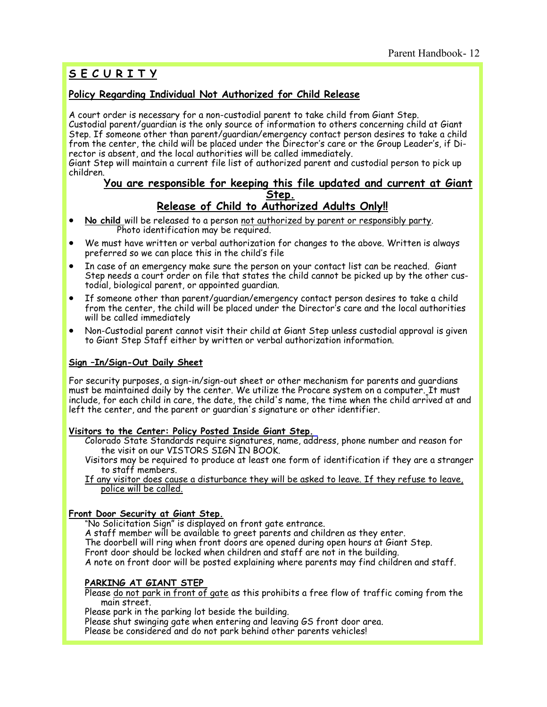# **S E C U R I T Y**

## **Policy Regarding Individual Not Authorized for Child Release**

A court order is necessary for a non-custodial parent to take child from Giant Step. Custodial parent/guardian is the only source of information to others concerning child at Giant Step. If someone other than parent/guardian/emergency contact person desires to take a child from the center, the child will be placed under the Director's care or the Group Leader's, if Director is absent, and the local authorities will be called immediately.

Giant Step will maintain a current file list of authorized parent and custodial person to pick up children.

# **You are responsible for keeping this file updated and current at Giant Step.**

## **Release of Child to Authorized Adults Only!!**

- **No child** will be released to a person not authorized by parent or responsibly party. Photo identification may be required.
- We must have written or verbal authorization for changes to the above. Written is always preferred so we can place this in the child's file
- In case of an emergency make sure the person on your contact list can be reached. Giant Step needs a court order on file that states the child cannot be picked up by the other custodial, biological parent, or appointed guardian.
- If someone other than parent/guardian/emergency contact person desires to take a child from the center, the child will be placed under the Director's care and the local authorities will be called immediately
- Non-Custodial parent cannot visit their child at Giant Step unless custodial approval is given to Giant Step Staff either by written or verbal authorization information.

## **Sign –In/Sign-Out Daily Sheet**

For security purposes, a sign-in/sign-out sheet or other mechanism for parents and guardians must be maintained daily by the center. We utilize the Procare system on a computer. It must include, for each child in care, the date, the child's name, the time when the child arrived at and left the center, and the parent or guardian's signature or other identifier.

#### **Visitors to the Center: Policy Posted Inside Giant Step.**

- Colorado State Standards require signatures, name, address, phone number and reason for the visit on our VISTORS SIGN IN BOOK.
- Visitors may be required to produce at least one form of identification if they are a stranger to staff members.
- If any visitor does cause a disturbance they will be asked to leave. If they refuse to leave, police will be called.

## **Front Door Security at Giant Step.**

"No Solicitation Sign" is displayed on front gate entrance. A staff member will be available to greet parents and children as they enter. The doorbell will ring when front doors are opened during open hours at Giant Step. Front door should be locked when children and staff are not in the building. A note on front door will be posted explaining where parents may find children and staff.

## **PARKING AT GIANT STEP**

Please do not park in front of gate as this prohibits a free flow of traffic coming from the main street.

Please park in the parking lot beside the building.

Please shut swinging gate when entering and leaving GS front door area.

Please be considered and do not park behind other parents vehicles!